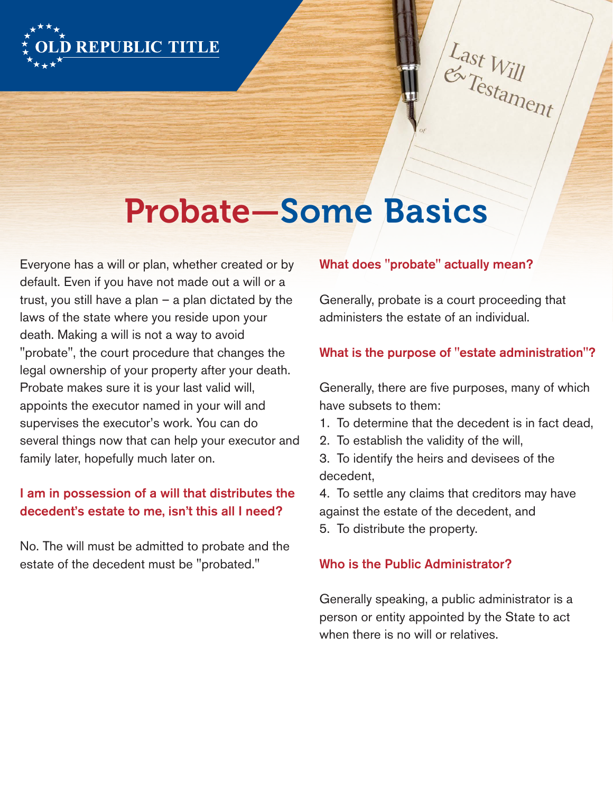

 $L$ ast W Last Will

# Probate—Some Basics

Everyone has a will or plan, whether created or by default. Even if you have not made out a will or a trust, you still have a plan – a plan dictated by the laws of the state where you reside upon your death. Making a will is not a way to avoid "probate", the court procedure that changes the legal ownership of your property after your death. Probate makes sure it is your last valid will, appoints the executor named in your will and supervises the executor's work. You can do several things now that can help your executor and family later, hopefully much later on.

## I am in possession of a will that distributes the decedent's estate to me, isn't this all I need?

No. The will must be admitted to probate and the estate of the decedent must be "probated."

#### What does "probate" actually mean?

Generally, probate is a court proceeding that administers the estate of an individual.

#### What is the purpose of "estate administration"?

Generally, there are five purposes, many of which have subsets to them:

- 1. To determine that the decedent is in fact dead,
- 2. To establish the validity of the will,
- 3. To identify the heirs and devisees of the decedent,

4. To settle any claims that creditors may have against the estate of the decedent, and 5. To distribute the property.

#### Who is the Public Administrator?

Generally speaking, a public administrator is a person or entity appointed by the State to act when there is no will or relatives.